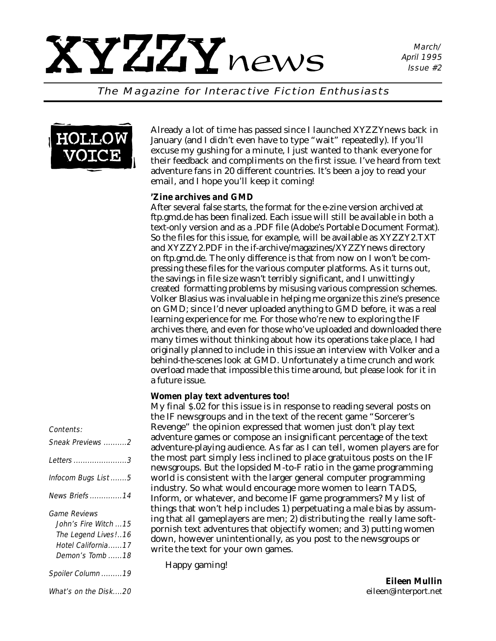March/ April 1995 Issue #2

The Magazine for Interactive Fiction Enthusiasts



Already a lot of time has passed since I launched *XYZZYnews* back in January (and I didn't even have to type "wait" repeatedly). If you'll excuse my gushing for a minute, I just wanted to thank everyone for their feedback and compliments on the first issue. I've heard from text adventure fans in 20 different countries. It's been a joy to read your email, and I hope you'll keep it coming!

#### *'Zine archives and GMD*

After several false starts, the format for the e-zine version archived at ftp.gmd.de has been finalized. Each issue will still be available in both a text-only version and as a .PDF file (Adobe's Portable Document Format). So the files for this issue, for example, will be available as XYZZY2.TXT and XYZZY2.PDF in the if-archive/magazines/XYZZYnews directory on ftp.gmd.de. The only difference is that from now on I won't be compressing these files for the various computer platforms. As it turns out, the savings in file size wasn't terribly significant, and I unwittingly created formatting problems by misusing various compression schemes. Volker Blasius was invaluable in helping me organize this zine's presence on GMD; since I'd never uploaded anything to GMD before, it was a real learning experience for me. For those who're new to exploring the IF archives there, and even for those who've uploaded and downloaded there many times without thinking about how its operations take place, I had originally planned to include in this issue an interview with Volker and a behind-the-scenes look at GMD. Unfortunately a time crunch and work overload made that impossible this time around, but please look for it in a future issue.

#### *Women play text adventures too!*

My final \$.02 for this issue is in response to reading several posts on the IF newsgroups and in the text of the recent game "Sorcerer's Revenge" the opinion expressed that women just don't play text adventure games or compose an insignificant percentage of the text adventure-playing audience. As far as I can tell, women players are for the most part simply less inclined to place gratuitous posts on the IF newsgroups. But the lopsided M-to-F ratio in the game programming world is consistent with the larger general computer programming industry. So what would encourage more women to learn TADS, Inform, or whatever, and become IF game programmers? My list of things that *won't* help includes 1) perpetuating a male bias by assuming that all gameplayers are men; 2) distributing the really lame softpornish text adventures that objectify women; and 3) putting women down, however unintentionally, as you post to the newsgroups or write the text for your own games.

Happy gaming!

*Eileen Mullin eileen@interport.net*

#### Contents: Sneak Previews ..........2 Letters .......................3 Infocom Bugs List .......5 News Briefs..............14 Game Reviews John's Fire Witch ...15 The Legend Lives!..16 Hotel California......17 Demon's Tomb ......18 Spoiler Column .........19

What's on the Disk....20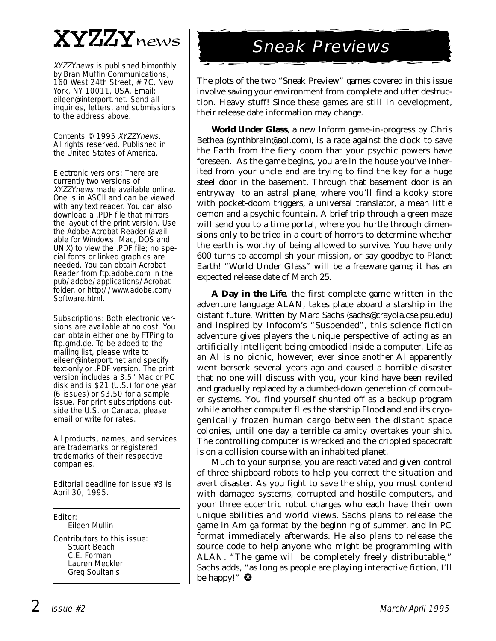# XYZZYnews

XYZZYnews is published bimonthly by Bran Muffin Communications, 160 West 24th Street, # 7C, New York, NY 10011, USA. Email: eileen@interport.net. Send all inquiries, letters, and submissions to the address above.

Contents © 1995 XYZZYnews. All rights reserved. Published in the United States of America.

Electronic versions: There are currently two versions of XYZZYnews made available online. One is in ASCII and can be viewed with any text reader. You can also download a .PDF file that mirrors the layout of the print version. Use the Adobe Acrobat Reader (available for Windows, Mac, DOS and UNIX) to view the .PDF file; no special fonts or linked graphics are needed. You can obtain Acrobat Reader from ftp.adobe.com in the pub/adobe/applications/Acrobat folder, or http://www.adobe.com/ Software.html.

Subscriptions: Both electronic versions are available at no cost. You can obtain either one by FTPing to ftp.gmd.de. To be added to the mailing list, please write to eileen@interport.net and specify text-only or .PDF version. The print version includes a 3.5" Mac or PC disk and is \$21 (U.S.) for one year (6 issues) or \$3.50 for a sample issue. For print subscriptions outside the U.S. or Canada, please email or write for rates.

All products, names, and services are trademarks or registered trademarks of their respective companies.

Editorial deadline for Issue #3 is April 30, 1995.

Editor: Eileen Mullin Contributors to this issue: Stuart Beach C.E. Forman Lauren Meckler Greg Soultanis

# Sneak Previews

The plots of the two "Sneak Preview" games covered in this issue involve saving your environment from complete and utter destruction. Heavy stuff! Since these games are still in development, their release date information may change.

**World Under Glass**, a new Inform game-in-progress by Chris Bethea (synthbrain@aol.com), is a race against the clock to save the Earth from the fiery doom that your psychic powers have foreseen. As the game begins, you are in the house you've inherited from your uncle and are trying to find the key for a huge steel door in the basement. Through that basement door is an entryway to an astral plane, where you'll find a kooky store with pocket-doom triggers, a universal translator, a mean little demon and a psychic fountain. A brief trip through a green maze will send you to a time portal, where you hurtle through dimensions only to be tried in a court of horrors to determine whether the earth is worthy of being allowed to survive. You have only 600 turns to accomplish your mission, or say goodbye to Planet Earth! "World Under Glass" will be a freeware game; it has an expected release date of March 25.

**A Day in the Life**, the first complete game written in the adventure language ALAN, takes place aboard a starship in the distant future. Written by Marc Sachs (sachs@crayola.cse.psu.edu) and inspired by Infocom's "Suspended", this science fiction adventure gives players the unique perspective of acting as an artificially intelligent being embodied inside a computer. Life as an AI is no picnic, however; ever since another AI apparently went berserk several years ago and caused a horrible disaster that no one will discuss with you, your kind have been reviled and gradually replaced by a dumbed-down generation of computer systems. You find yourself shunted off as a backup program while another computer flies the starship Floodland and its cryogenically frozen human cargo between the distant space colonies, until one day a terrible calamity overtakes your ship. The controlling computer is wrecked and the crippled spacecraft is on a collision course with an inhabited planet.

Much to your surprise, you are reactivated and given control of three shipboard robots to help you correct the situation and avert disaster. As you fight to save the ship, you must contend with damaged systems, corrupted and hostile computers, and your three eccentric robot charges who each have their own unique abilities and world views. Sachs plans to release the game in Amiga format by the beginning of summer, and in PC format immediately afterwards. He also plans to release the source code to help anyone who might be programming with ALAN. "The game will be completely freely distributable," Sachs adds, "as long as people are playing interactive fiction, I'll be happy!"  $\bullet$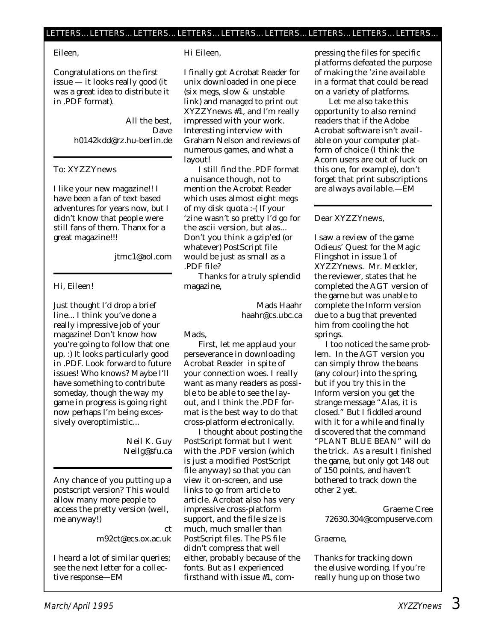#### Eileen,

Congratulations on the first issue — it looks really good (it was a great idea to distribute it in .PDF format).

> All the best, Dave h0142kdd@rz.hu-berlin.de

#### To: XYZZYnews

I like your new magazine!! I have been a fan of text based adventures for years now, but I didn't know that people were still fans of them. Thanx for a great magazine!!!

jtmc1@aol.com

#### Hi, Eileen!

Just thought I'd drop a brief line... I think you've done a really impressive job of your magazine! Don't know how you're going to follow that one up. :) It looks particularly good in .PDF. Look forward to future issues! Who knows? Maybe I'll have something to contribute someday, though the way my game in progress is going right now perhaps I'm being excessively overoptimistic...

#### Neil K. Guy Neilg@sfu.ca

Any chance of you putting up a postscript version? This would allow many more people to access the pretty version (well, me anyway!)

#### m92ct@ecs.ox.ac.uk

ct

*I heard a lot of similar queries; see the next letter for a collective response—EM*

#### Hi Eileen,

I finally got Acrobat Reader for unix downloaded in one piece (six megs, slow & unstable link) and managed to print out *XYZZYnews* #1, and I'm really impressed with your work. Interesting interview with Graham Nelson and reviews of numerous games, and what a layout!

I still find the .PDF format a nuisance though, not to mention the Acrobat Reader which uses almost eight megs of my disk quota :-( If your 'zine wasn't so pretty I'd go for the ascii version, but alas... Don't you think a gzip'ed (or whatever) PostScript file would be just as small as a .PDF file?

Thanks for a truly splendid magazine,

> Mads Haahr haahr@cs.ubc.ca

#### *Mads,*

*First, let me applaud your perseverance in downloading Acrobat Reader in spite of your connection woes. I really want as many readers as possible to be able to see the layout, and I think the .PDF format is the best way to do that cross-platform electronically.* 

*I thought about posting the PostScript format but I went with the .PDF version (which is just a modified PostScript file anyway) so that you can view it on-screen, and use links to go from article to article. Acrobat also has very impressive cross-platform support, and the file size is much, much smaller than PostScript files. The PS file didn't compress that well either, probably because of the fonts. But as I experienced firsthand with issue #1, com-* *pressing the files for specific platforms defeated the purpose of making the 'zine available in a format that could be read on a variety of platforms.*

*Let me also take this opportunity to also remind readers that if the Adobe Acrobat software isn't available on your computer platform of choice (I think the Acorn users are out of luck on this one, for example), don't forget that print subscriptions are always available.—EM*

#### Dear *XYZZYnews,*

I saw a review of the game Odieus' Quest for the Magic Flingshot in issue 1 of *XYZZYnews*. Mr. Meckler, the reviewer, states that he completed the AGT version of the game but was unable to complete the Inform version due to a bug that prevented him from cooling the hot springs.

I too noticed the same problem. In the AGT version you can simply throw the beans (any colour) into the spring, but if you try this in the Inform version you get the strange message "Alas, it is closed." But I fiddled around with it for a while and finally discovered that the command "PLANT BLUE BEAN" will do the trick. As a result I finished the game, but only got 148 out of 150 points, and haven't bothered to track down the other 2 yet.

Graeme Cree 72630.304@compuserve.com

#### *Graeme,*

*Thanks for tracking down the elusive wording. If you're really hung up on those two*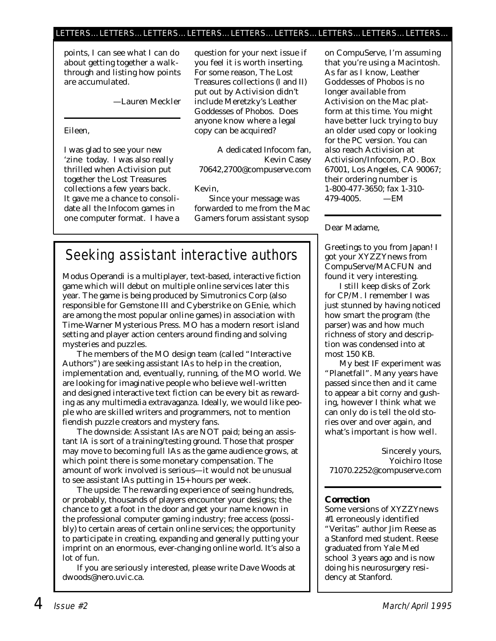#### LETTERS…LETTERS…LETTERS…LETTERS…LETTERS…LETTERS…LETTERS…LETTERS…LETTERS…

*points, I can see what I can do about getting together a walkthrough and listing how points are accumulated.*

*—Lauren Meckler*

Eileen,

I was glad to see your new 'zine today. I was also really thrilled when Activision put together the Lost Treasures collections a few years back. It gave me a chance to consolidate all the Infocom games in one computer format. I have a question for your next issue if you feel it is worth inserting. For some reason, The Lost Treasures collections (I and II) put out by Activision didn't include Meretzky's Leather Goddesses of Phobos. Does anyone know where a legal copy can be acquired?

A dedicated Infocom fan, Kevin Casey 70642,2700@compuserve.com

#### *Kevin,*

*Since your message was forwarded to me from the Mac Gamers forum assistant sysop*

## Seeking assistant interactive authors

Modus Operandi is a multiplayer, text-based, interactive fiction game which will debut on multiple online services later this year. The game is being produced by Simutronics Corp (also responsible for Gemstone III and Cyberstrike on GEnie, which are among the most popular online games) in association with Time-Warner Mysterious Press. MO has a modern resort island setting and player action centers around finding and solving mysteries and puzzles.

The members of the MO design team (called "Interactive Authors") are seeking assistant IAs to help in the creation, implementation and, eventually, running, of the MO world. We are looking for imaginative people who believe well-written and designed interactive text fiction can be every bit as rewarding as any multimedia extravaganza. Ideally, we would like people who are skilled writers and programmers, not to mention fiendish puzzle creators and mystery fans.

The downside: Assistant IAs are NOT paid; being an assistant IA is sort of a training/testing ground. Those that prosper may move to becoming full IAs as the game audience grows, at which point there is some monetary compensation. The amount of work involved is serious—it would not be unusual to see assistant IAs putting in 15+ hours per week.

The upside: The rewarding experience of seeing hundreds, or probably, thousands of players encounter your designs; the chance to get a foot in the door and get your name known in the professional computer gaming industry; free access (possibly) to certain areas of certain online services; the opportunity to participate in creating, expanding and generally putting your imprint on an enormous, ever-changing online world. It's also a lot of fun.

If you are seriously interested, please write Dave Woods at dwoods@nero.uvic.ca.

*on CompuServe, I'm assuming that you're using a Macintosh. As far as I know, Leather Goddesses of Phobos is no longer available from Activision on the Mac platform at this time. You might have better luck trying to buy an older used copy or looking for the PC version. You can also reach Activision at Activision/Infocom, P.O. Box 67001, Los Angeles, CA 90067; their ordering number is 1-800-477-3650; fax 1-310- 479-4005. —EM*

Dear Madame,

Greetings to you from Japan! I got your XYZZYnews from CompuServe/MACFUN and found it very interesting.

I still keep disks of Zork for CP/M. I remember I was just stunned by having noticed how smart the program (the parser) was and how much richness of story and description was condensed into at most 150 KB.

My best IF experiment was "Planetfall". Many years have passed since then and it came to appear a bit corny and gushing, however I think what we can only do is tell the old stories over and over again, and what's important is how well.

Sincerely yours, Yoichiro Itose 71070.2252@compuserve.com

#### **Correction**

Some versions of *XYZZYnews #1* erroneously identified "Veritas" author Jim Reese as a Stanford med student. Reese graduated from Yale Med school 3 years ago and is now doing his neurosurgery residency at Stanford.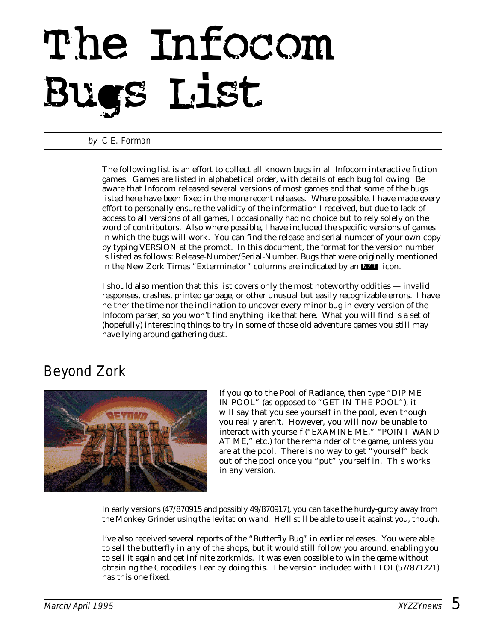# The Infocom Bugs List

#### by C.E. Forman

The following list is an effort to collect all known bugs in all Infocom interactive fiction games. Games are listed in alphabetical order, with details of each bug following. Be aware that Infocom released several versions of most games and that some of the bugs listed here have been fixed in the more recent releases. Where possible, I have made every effort to personally ensure the validity of the information I received, but due to lack of access to all versions of all games, I occasionally had no choice but to rely solely on the word of contributors. Also where possible, I have included the specific versions of games in which the bugs will work. You can find the release and serial number of your own copy by typing VERSION at the prompt. In this document, the format for the version number is listed as follows: Release-Number/Serial-Number. Bugs that were originally mentioned in the *New Zork Times* "Exterminator" columns are indicated by an **NZT** icon.

I should also mention that this list covers only the most noteworthy oddities — invalid responses, crashes, printed garbage, or other unusual but easily recognizable errors. I have neither the time nor the inclination to uncover every minor bug in every version of the Infocom parser, so you won't find anything like that here. What you will find is a set of (hopefully) interesting things to try in some of those old adventure games you still may have lying around gathering dust.

## Beyond Zork



If you go to the Pool of Radiance, then type "DIP ME IN POOL" (as opposed to "GET IN THE POOL"), it will say that you see yourself in the pool, even though you really aren't. However, you will now be unable to interact with yourself ("EXAMINE ME," "POINT WAND AT ME," etc.) for the remainder of the game, unless you are at the pool. There is no way to get "yourself" back out of the pool once you "put" yourself in. This works in any version.

In early versions (47/870915 and possibly 49/870917), you can take the hurdy-gurdy away from the Monkey Grinder using the levitation wand. He'll still be able to use it against you, though.

I've also received several reports of the "Butterfly Bug" in earlier releases. You were able to sell the butterfly in any of the shops, but it would still follow you around, enabling you to sell it again and get infinite zorkmids. It was even possible to win the game without obtaining the Crocodile's Tear by doing this. The version included with LTOI (57/871221) has this one fixed.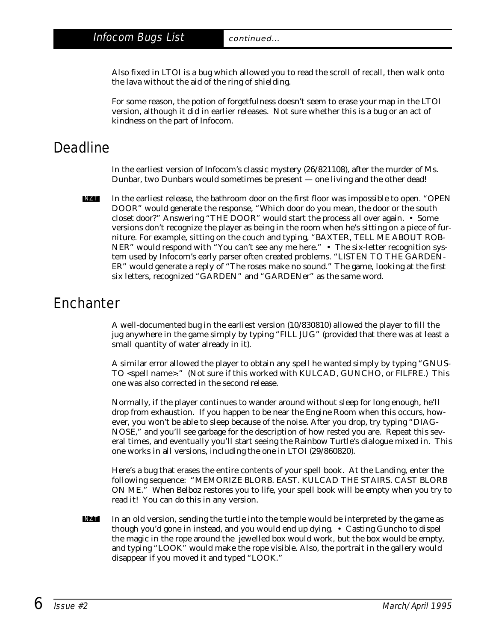Also fixed in LTOI is a bug which allowed you to read the scroll of recall, then walk onto the lava without the aid of the ring of shielding.

For some reason, the potion of forgetfulness doesn't seem to erase your map in the LTOI version, although it did in earlier releases. Not sure whether this is a bug or an act of kindness on the part of Infocom.

## Deadline

In the earliest version of Infocom's classic mystery (26/821108), after the murder of Ms. Dunbar, two Dunbars would sometimes be present — one living and the other dead!

In the earliest release, the bathroom door on the first floor was impossible to open. "OPEN DOOR" would generate the response, "Which door do you mean, the door or the south closet door?" Answering "THE DOOR" would start the process all over again. • Some versions don't recognize the player as being in the room when he's sitting on a piece of furniture. For example, sitting on the couch and typing, "BAXTER, TELL ME ABOUT ROB-NER" would respond with "You can't see any me here." • The six-letter recognition system used by Infocom's early parser often created problems. "LISTEN TO THE GARDEN-ER" would generate a reply of "The roses make no sound." The game, looking at the first six letters, recognized "GARDEN" and "GARDENer" as the same word. NZT

## **Enchanter**

A well-documented bug in the earliest version (10/830810) allowed the player to fill the jug anywhere in the game simply by typing "FILL JUG" (provided that there was at least a small quantity of water already in it).

A similar error allowed the player to obtain any spell he wanted simply by typing "GNUS-TO *<spell name>*." (Not sure if this worked with KULCAD, GUNCHO, or FILFRE.) This one was also corrected in the second release.

Normally, if the player continues to wander around without sleep for long enough, he'll drop from exhaustion. If you happen to be near the Engine Room when this occurs, however, you won't be able to sleep because of the noise. After you drop, try typing "DIAG-NOSE," and you'll see garbage for the description of how rested you are. Repeat this several times, and eventually you'll start seeing the Rainbow Turtle's dialogue mixed in. This one works in all versions, including the one in LTOI (29/860820).

Here's a bug that erases the entire contents of your spell book. At the Landing, enter the following sequence: "MEMORIZE BLORB. EAST. KULCAD THE STAIRS. CAST BLORB ON ME." When Belboz restores you to life, your spell book will be empty when you try to read it! You can do this in any version.

In an old version, sending the turtle into the temple would be interpreted by the game as though you'd gone in instead, and you would end up dying. • Casting Guncho to dispel the magic in the rope around the jewelled box would work, but the box would be empty, and typing "LOOK" would make the rope visible. Also, the portrait in the gallery would disappear if you moved it and typed "LOOK." NZT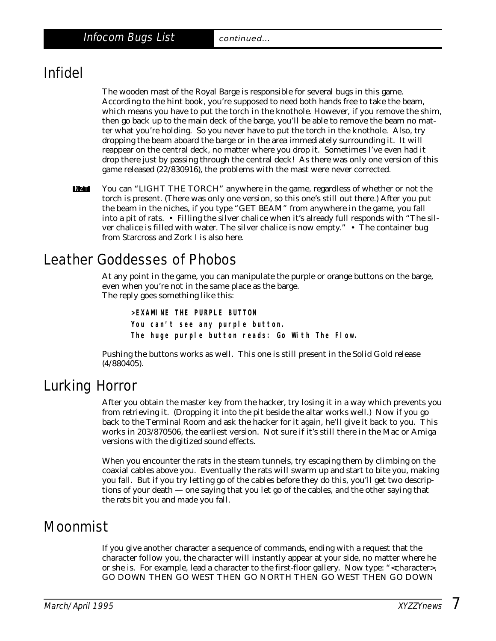## Infidel

The wooden mast of the Royal Barge is responsible for several bugs in this game. According to the hint book, you're supposed to need both hands free to take the beam, which means you have to put the torch in the knothole. However, if you remove the shim, then go back up to the main deck of the barge, you'll be able to remove the beam no matter what you're holding. So you never have to put the torch in the knothole. Also, try dropping the beam aboard the barge or in the area immediately surrounding it. It will reappear on the central deck, no matter where you drop it. Sometimes I've even had it drop there just by passing through the central deck! As there was only one version of this game released (22/830916), the problems with the mast were never corrected.

You can "LIGHT THE TORCH" anywhere in the game, regardless of whether or not the torch is present. (There was only one version, so this one's still out there.) After you put the beam in the niches, if you type "GET BEAM" from anywhere in the game, you fall into a pit of rats. • Filling the silver chalice when it's already full responds with "The silver chalice is filled with water. The silver chalice is now empty." • The container bug from Starcross and Zork I is also here. NZT

## Leather Goddesses of Phobos

At any point in the game, you can manipulate the purple or orange buttons on the barge, even when you're not in the same place as the barge. The reply goes something like this:

**>EXAMINE THE PURPLE BUTTON You can't see any purple button. The huge purple button reads: Go With The Flow.**

Pushing the buttons works as well. This one is still present in the Solid Gold release (4/880405).

#### Lurking Horror

After you obtain the master key from the hacker, try losing it in a way which prevents you from retrieving it. (Dropping it into the pit beside the altar works well.) Now if you go back to the Terminal Room and ask the hacker for it again, he'll give it back to you. This works in 203/870506, the earliest version. Not sure if it's still there in the Mac or Amiga versions with the digitized sound effects.

When you encounter the rats in the steam tunnels, try escaping them by climbing on the coaxial cables above you. Eventually the rats will swarm up and start to bite you, making you fall. But if you try letting go of the cables before they do this, you'll get two descriptions of your death — one saying that you let go of the cables, and the other saying that the rats bit you and made you fall.

## Moonmist

If you give another character a sequence of commands, ending with a request that the character follow you, the character will instantly appear at your side, no matter where he or she is. For example, lead a character to the first-floor gallery. Now type: "<character>, GO DOWN THEN GO WEST THEN GO NORTH THEN GO WEST THEN GO DOWN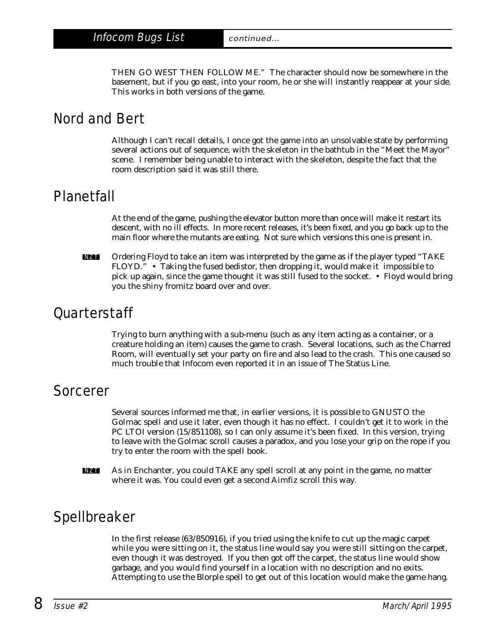THEN GO WEST THEN FOLLOW ME." The character should now be somewhere in the basement, but if you go east, into your room, he or she will instantly reappear at your side. This works in both versions of the game.

## Nord and Bert

Although I can't recall details, I once got the game into an unsolvable state by performing several actions out of sequence, with the skeleton in the bathtub in the "Meet the Mayor" scene. I remember being unable to interact with the skeleton, despite the fact that the room description said it was still there.

### Planetfall

At the end of the game, pushing the elevator button more than once will make it restart its descent, with no ill effects. In more recent releases, it's been fixed, and you go back up to the main floor where the mutants are eating. Not sure which versions this one is present in.

Ordering Floyd to take an item was interpreted by the game as if the player typed "TAKE FLOYD." • Taking the fused bedistor, then dropping it, would make it impossible to pick up again, since the game thought it was still fused to the socket. • Floyd would bring you the shiny fromitz board over and over. NZT

#### **Ouarterstaff**

Trying to burn anything with a sub-menu (such as any item acting as a container, or a creature holding an item) causes the game to crash. Several locations, such as the Charred Room, will eventually set your party on fire and also lead to the crash. This one caused so much trouble that Infocom even reported it in an issue of The Status Line.

#### Sorcerer

Several sources informed me that, in earlier versions, it is possible to GNUSTO the Golmac spell and use it later, even though it has no effect. I couldn't get it to work in the PC LTOI version (15/851108), so I can only assume it's been fixed. In this version, trying to leave with the Golmac scroll causes a paradox, and you lose your grip on the rope if you try to enter the room with the spell book.

As in Enchanter, you could TAKE any spell scroll at any point in the game, no matter where it was. You could even get a second Aimfiz scroll this way. NZT

## Spellbreaker

In the first release (63/850916), if you tried using the knife to cut up the magic carpet while you were sitting on it, the status line would say you were still sitting on the carpet, even though it was destroyed. If you then got off the carpet, the status line would show garbage, and you would find yourself in a location with no description and no exits. Attempting to use the Blorple spell to get out of this location would make the game hang.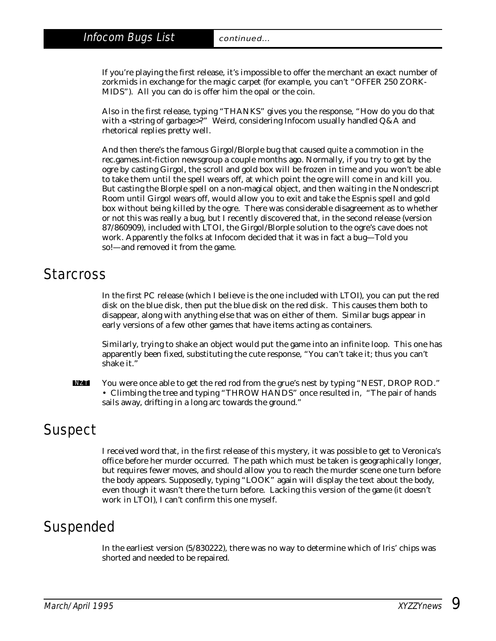If you're playing the first release, it's impossible to offer the merchant an exact number of zorkmids in exchange for the magic carpet (for example, you can't "OFFER 250 ZORK-MIDS"). All you can do is offer him the opal or the coin.

Also in the first release, typing "THANKS" gives you the response, "How do you do that with a *<string of garbage>*?" Weird, considering Infocom usually handled Q&A and rhetorical replies pretty well.

And then there's the famous Girgol/Blorple bug that caused quite a commotion in the rec.games.int-fiction newsgroup a couple months ago. Normally, if you try to get by the ogre by casting Girgol, the scroll and gold box will be frozen in time and you won't be able to take them until the spell wears off, at which point the ogre will come in and kill you. But casting the Blorple spell on a non-magical object, and then waiting in the Nondescript Room until Girgol wears off, would allow you to exit and take the Espnis spell and gold box without being killed by the ogre. There was considerable disagreement as to whether or not this was really a bug, but I recently discovered that, in the second release (version 87/860909), included with LTOI, the Girgol/Blorple solution to the ogre's cave does not work. Apparently the folks at Infocom decided that it was in fact a bug—Told you so!—and removed it from the game.

#### Starcross

In the first PC release (which I believe is the one included with LTOI), you can put the red disk on the blue disk, then put the blue disk on the red disk. This causes them both to disappear, along with anything else that was on either of them. Similar bugs appear in early versions of a few other games that have items acting as containers.

Similarly, trying to shake an object would put the game into an infinite loop. This one has apparently been fixed, substituting the cute response, "You can't take it; thus you can't shake it."

You were once able to get the red rod from the grue's nest by typing "NEST, DROP ROD." • Climbing the tree and typing "THROW HANDS" once resulted in, "The pair of hands sails away, drifting in a long arc towards the ground." NZT

## **Suspect**

I received word that, in the first release of this mystery, it was possible to get to Veronica's office before her murder occurred. The path which must be taken is geographically longer, but requires fewer moves, and should allow you to reach the murder scene one turn before the body appears. Supposedly, typing "LOOK" again will display the text about the body, even though it wasn't there the turn before. Lacking this version of the game (it doesn't work in LTOI), I can't confirm this one myself.

## Suspended

In the earliest version (5/830222), there was no way to determine which of Iris' chips was shorted and needed to be repaired.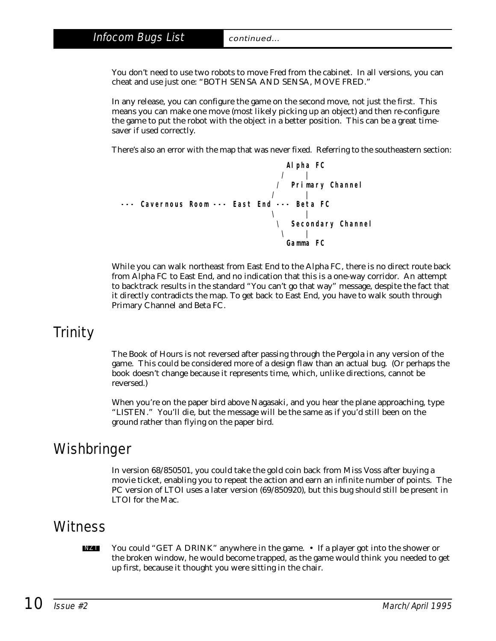#### Infocom Bugs List continued...

You don't need to use two robots to move Fred from the cabinet. In all versions, you can cheat and use just one: "BOTH SENSA AND SENSA, MOVE FRED."

In any release, you can configure the game on the second move, not just the first. This means you can make one move (most likely picking up an object) and then re-configure the game to put the robot with the object in a better position. This can be a great timesaver if used correctly.

There's also an error with the map that was never fixed. Referring to the southeastern section:

**Alpha FC / | / Primary Channel / | --- Cavernous Room --- East End --- Beta FC \ | \ Secondary Channel \ | Gamma FC**

While you can walk northeast from East End to the Alpha FC, there is no direct route back from Alpha FC to East End, and no indication that this is a one-way corridor. An attempt to backtrack results in the standard "You can't go that way" message, despite the fact that it directly contradicts the map. To get back to East End, you have to walk south through Primary Channel and Beta FC.

## Trinity

The Book of Hours is not reversed after passing through the Pergola in any version of the game. This could be considered more of a design flaw than an actual bug. (Or perhaps the book doesn't change because it represents time, which, unlike directions, cannot be reversed.)

When you're on the paper bird above Nagasaki, and you hear the plane approaching, type "LISTEN." You'll die, but the message will be the same as if you'd still been on the ground rather than flying on the paper bird.

## **Wishbringer**

In version 68/850501, you could take the gold coin back from Miss Voss after buying a movie ticket, enabling you to repeat the action and earn an infinite number of points. The PC version of LTOI uses a later version (69/850920), but this bug should still be present in LTOI for the Mac.

#### **Witness**

You could "GET A DRINK" anywhere in the game. • If a player got into the shower or the broken window, he would become trapped, as the game would think you needed to get up first, because it thought you were sitting in the chair. NZT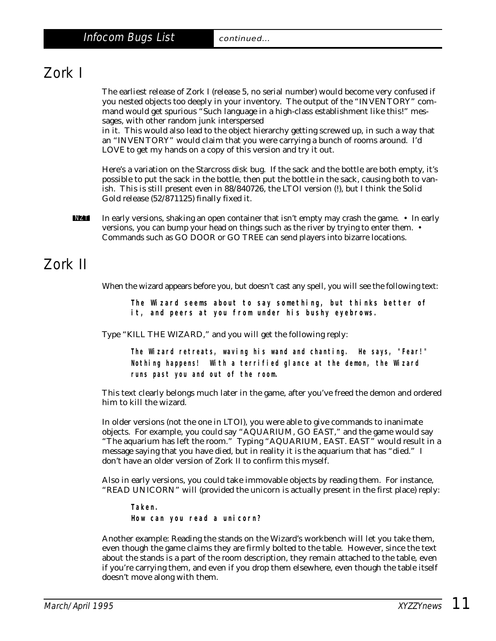## Zork I

The earliest release of Zork I (release 5, no serial number) would become *very* confused if you nested objects too deeply in your inventory. The output of the "INVENTORY" command would get spurious "Such language in a high-class establishment like this!" messages, with other random junk interspersed

in it. This would also lead to the object hierarchy getting screwed up, in such a way that an "INVENTORY" would claim that you were carrying a bunch of rooms around. I'd LOVE to get my hands on a copy of this version and try it out.

Here's a variation on the Starcross disk bug. If the sack and the bottle are both empty, it's possible to put the sack in the bottle, then put the bottle in the sack, causing both to vanish. This is still present even in 88/840726, the LTOI version (!), but I think the Solid Gold release (52/871125) finally fixed it.

In early versions, shaking an open container that isn't empty may crash the game. • In early versions, you can bump your head on things such as the river by trying to enter them. • Commands such as GO DOOR or GO TREE can send players into bizarre locations. NZT

## Zork II

When the wizard appears before you, but doesn't cast any spell, you will see the following text:

**The Wizard seems about to say something, but thinks better of it, and peers at you from under his bushy eyebrows.**

Type "KILL THE WIZARD," and you will get the following reply:

**The Wizard retreats, waving his wand and chanting. He says, "Fear!" Nothing happens! With a terrified glance at the demon, the Wizard runs past you and out of the room.**

This text clearly belongs much later in the game, after you've freed the demon and ordered him to kill the wizard.

In older versions (not the one in LTOI), you were able to give commands to inanimate objects. For example, you could say "AQUARIUM, GO EAST," and the game would say "The aquarium has left the room." Typing "AQUARIUM, EAST. EAST" would result in a message saying that you have died, but in reality it is the aquarium that has "died." I don't have an older version of Zork II to confirm this myself.

Also in early versions, you could take immovable objects by reading them. For instance, "READ UNICORN" will (provided the unicorn is actually present in the first place) reply:

**Taken.**

**How can you read a unicorn?**

Another example: Reading the stands on the Wizard's workbench will let you take them, even though the game claims they are firmly bolted to the table. However, since the text about the stands is a part of the room description, they remain attached to the table, even if you're carrying them, and even if you drop them elsewhere, even though the table itself doesn't move along with them.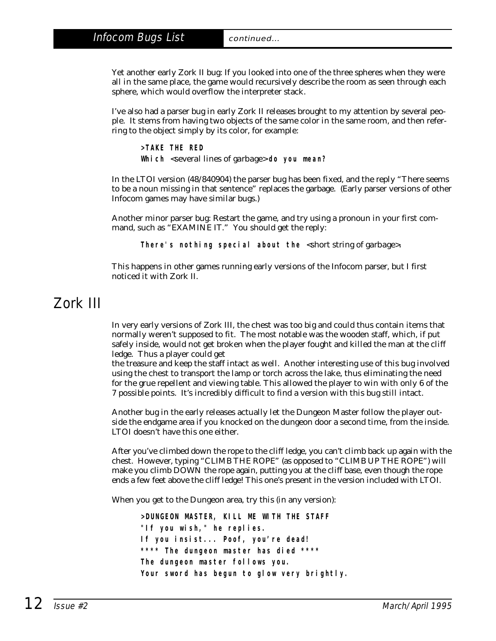Yet another early Zork II bug: If you looked into one of the three spheres when they were all in the same place, the game would recursively describe the room as seen through each sphere, which would overflow the interpreter stack.

I've also had a parser bug in early Zork II releases brought to my attention by several people. It stems from having two objects of the same color in the same room, and then referring to the object simply by its color, for example:

**>TAKE THE RED Which** *<several lines of garbage>* **do you mean?**

In the LTOI version (48/840904) the parser bug has been fixed, and the reply "There seems to be a noun missing in that sentence" replaces the garbage. (Early parser versions of other Infocom games may have similar bugs.)

Another minor parser bug: Restart the game, and try using a pronoun in your first command, such as "EXAMINE IT." You should get the reply:

**There's nothing special about the** *<short string of garbage>***.**

This happens in other games running early versions of the Infocom parser, but I first noticed it with Zork II.

### Zork III

In very early versions of Zork III, the chest was too big and could thus contain items that normally weren't supposed to fit. The most notable was the wooden staff, which, if put safely inside, would not get broken when the player fought and killed the man at the cliff ledge. Thus a player could get

the treasure and keep the staff intact as well. Another interesting use of this bug involved using the chest to transport the lamp or torch across the lake, thus eliminating the need for the grue repellent and viewing table. This allowed the player to win with only 6 of the 7 possible points. It's incredibly difficult to find a version with this bug still intact.

Another bug in the early releases actually let the Dungeon Master follow the player outside the endgame area if you knocked on the dungeon door a second time, from the inside. LTOI doesn't have this one either.

After you've climbed down the rope to the cliff ledge, you can't climb back up again with the chest. However, typing "CLIMB THE ROPE" (as opposed to "CLIMB UP THE ROPE") will make you climb DOWN the rope again, putting you at the cliff base, even though the rope ends a few feet above the cliff ledge! This one's present in the version included with LTOI.

When you get to the Dungeon area, try this (in any version):

**>DUNGEON MASTER, KILL ME WITH THE STAFF "If you wish," he replies. If you insist... Poof, you're dead! \*\*\*\* The dungeon master has died \*\*\*\* The dungeon master follows you. Your sword has begun to glow very brightly.**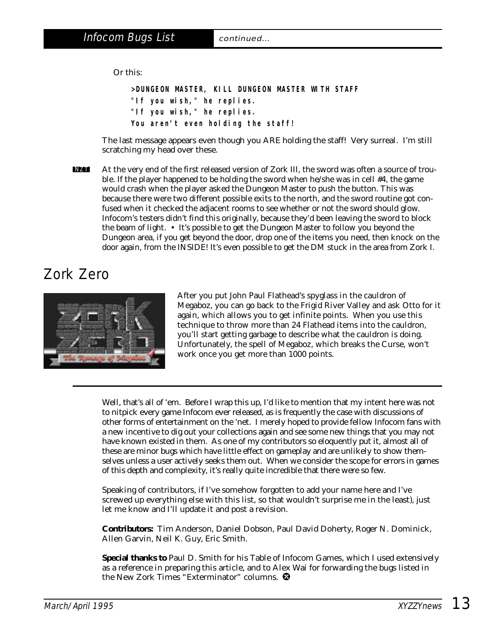Or this:

**>DUNGEON MASTER, KILL DUNGEON MASTER WITH STAFF "If you wish," he replies. "If you wish," he replies. You aren't even holding the staff!**

The last message appears even though you ARE holding the staff! Very surreal. I'm still scratching my head over these.

At the very end of the first released version of Zork III, the sword was often a source of trouble. If the player happened to be holding the sword when he/she was in cell #4, the game would crash when the player asked the Dungeon Master to push the button. This was because there were two different possible exits to the north, and the sword routine got confused when it checked the adjacent rooms to see whether or not the sword should glow. Infocom's testers didn't find this originally, because they'd been leaving the sword to block the beam of light. • It's possible to get the Dungeon Master to follow you beyond the Dungeon area, if you get beyond the door, drop one of the items you need, then knock on the door again, from the INSIDE! It's even possible to get the DM stuck in the area from Zork I. NZT

## Zork Zero



After you put John Paul Flathead's spyglass in the cauldron of Megaboz, you can go back to the Frigid River Valley and ask Otto for it again, which allows you to get infinite points. When you use this technique to throw more than 24 Flathead items into the cauldron, you'll start getting garbage to describe what the cauldron is doing. Unfortunately, the spell of Megaboz, which breaks the Curse, won't work once you get more than 1000 points.

Well, that's all of 'em. Before I wrap this up, I'd like to mention that my intent here was not to nitpick every game Infocom ever released, as is frequently the case with discussions of other forms of entertainment on the 'net. I merely hoped to provide fellow Infocom fans with a new incentive to dig out your collections again and see some new things that you may not have known existed in them. As one of my contributors so eloquently put it, almost all of these are minor bugs which have little effect on gameplay and are unlikely to show themselves unless a user actively seeks them out. When we consider the scope for errors in games of this depth and complexity, it's really quite incredible that there were so few.

Speaking of contributors, if I've somehow forgotten to add your name here and I've screwed up everything else with this list, so that wouldn't surprise me in the least), just let me know and I'll update it and post a revision.

**Contributors:** Tim Anderson, Daniel Dobson, Paul David Doherty, Roger N. Dominick, Allen Garvin, Neil K. Guy, Eric Smith.

**Special thanks to** Paul D. Smith for his Table of Infocom Games, which I used extensively as a reference in preparing this article, and to Alex Wai for forwarding the bugs listed in the *New Zork Times* "Exterminator" columns.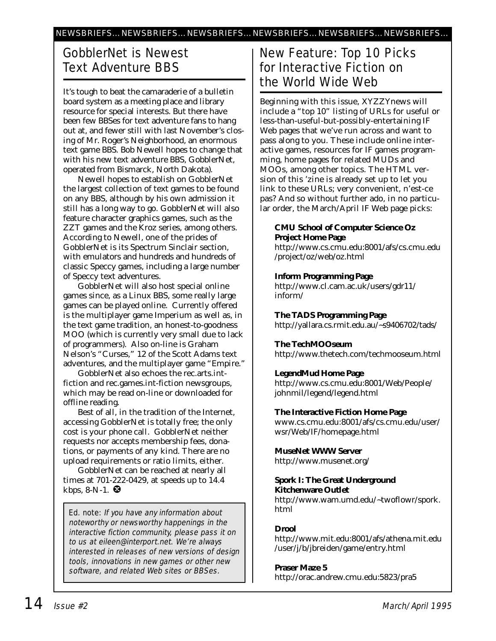### GobblerNet is Newest Text Adventure BBS

It's tough to beat the camaraderie of a bulletin board system as a meeting place and library resource for special interests. But there have been few BBSes for text adventure fans to hang out at, and fewer still with last November's closing of Mr. Roger's Neighborhood, an enormous text game BBS. Bob Newell hopes to change that with his new text adventure BBS, GobblerNet, operated from Bismarck, North Dakota).

Newell hopes to establish on GobblerNet the largest collection of text games to be found on any BBS, although by his own admission it still has a long way to go. GobblerNet will also feature character graphics games, such as the ZZT games and the Kroz series, among others. According to Newell, one of the prides of GobblerNet is its Spectrum Sinclair section, with emulators and hundreds and hundreds of classic Speccy games, including a large number of Speccy text adventures.

GobblerNet will also host special online games since, as a Linux BBS, some really large games can be played online. Currently offered is the multiplayer game Imperium as well as, in the text game tradition, an honest-to-goodness MOO (which is currently very small due to lack of programmers). Also on-line is Graham Nelson's "Curses," 12 of the Scott Adams text adventures, and the multiplayer game "Empire."

GobblerNet also echoes the rec.arts.intfiction and rec.games.int-fiction newsgroups, which may be read on-line or downloaded for offline reading.

Best of all, in the tradition of the Internet, accessing GobblerNet is totally free; the only cost is your phone call. GobblerNet neither requests nor accepts membership fees, donations, or payments of any kind. There are no upload requirements or ratio limits, either.

GobblerNet can be reached at nearly all times at 701-222-0429, at speeds up to 14.4 kbps, 8-N-1.  $\bullet$ 

Ed. note: If you have any information about noteworthy or newsworthy happenings in the interactive fiction community, please pass it on to us at eileen@interport.net. We're always interested in releases of new versions of design tools, innovations in new games or other new software, and related Web sites or BBSes.

#### New Feature: Top 10 Picks for Interactive Fiction on the World Wide Web

Beginning with this issue, *XYZZYnews* will include a "top 10" listing of URLs for useful or less-than-useful-but-possibly-entertaining IF Web pages that we've run across and want to pass along to you. These include online interactive games, resources for IF games programming, home pages for related MUDs and MOOs, among other topics. The HTML version of this 'zine is already set up to let you link to these URLs; very convenient, n'est-ce pas? And so without further ado, in no particular order, the March/April IF Web page picks:

**CMU School of Computer Science Oz Project Home Page** http://www.cs.cmu.edu:8001/afs/cs.cmu.edu /project/oz/web/oz.html

**Inform Programming Page** http://www.cl.cam.ac.uk/users/gdr11/ inform/

**The TADS Programming Page** http://yallara.cs.rmit.edu.au/~s9406702/tads/

**The TechMOOseum** http://www.thetech.com/techmooseum.html

**LegendMud Home Page** http://www.cs.cmu.edu:8001/Web/People/ johnmil/legend/legend.html

**The Interactive Fiction Home Page** www.cs.cmu.edu:8001/afs/cs.cmu.edu/user/ wsr/Web/IF/homepage.html

**MuseNet WWW Server** http://www.musenet.org/

**Spork I: The Great Underground Kitchenware Outlet** http://www.wam.umd.edu/~twoflowr/spork. html

**Drool** http://www.mit.edu:8001/afs/athena.mit.edu /user/j/b/jbreiden/game/entry.html

**Praser Maze 5** http://orac.andrew.cmu.edu:5823/pra5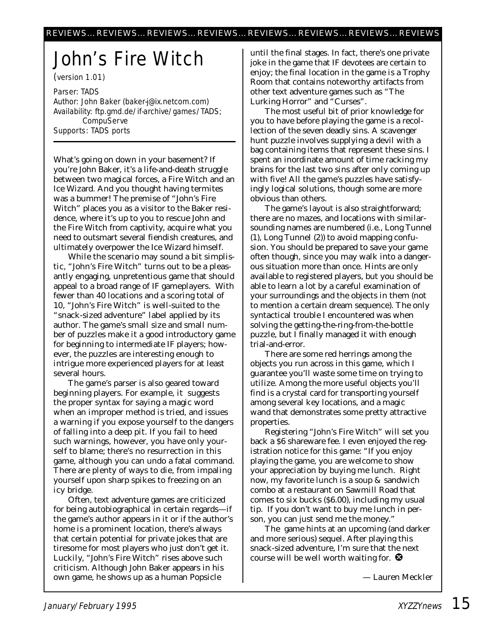# John's Fire Witch

(version 1.01)

Parser: TADS Author: John Baker (baker-j@ix.netcom.com) Availability: ftp.gmd.de/if-archive/games/TADS; **CompuServe** Supports: TADS ports

What's going on down in *your* basement? If you're John Baker, it's a life-and-death struggle between two magical forces, a Fire Witch and an Ice Wizard. And you thought having termites was a bummer! The premise of "John's Fire Witch" places you as a visitor to the Baker residence, where it's up to you to rescue John and the Fire Witch from captivity, acquire what you need to outsmart several fiendish creatures, and ultimately overpower the Ice Wizard himself.

While the scenario may sound a bit simplistic, "John's Fire Witch" turns out to be a pleasantly engaging, unpretentious game that should appeal to a broad range of IF gameplayers. With fewer than 40 locations and a scoring total of 10, "John's Fire Witch" is well-suited to the "snack-sized adventure" label applied by its author. The game's small size and small number of puzzles make it a good introductory game for beginning to intermediate IF players; however, the puzzles are interesting enough to intrigue more experienced players for at least several hours.

The game's parser is also geared toward beginning players. For example, it suggests the proper syntax for saying a magic word when an improper method is tried, and issues a warning if you expose yourself to the dangers of falling into a deep pit. If you fail to heed such warnings, however, you have only yourself to blame; there's no resurrection in this game, although you can undo a fatal command. There are plenty of ways to die, from impaling yourself upon sharp spikes to freezing on an icy bridge.

Often, text adventure games are criticized for being autobiographical in certain regards—if the game's author appears in it or if the author's home is a prominent location, there's always that certain potential for private jokes that are tiresome for most players who just don't get it. Luckily, "John's Fire Witch" rises above such criticism. Although John Baker appears in his own game, he shows up as a human Popsicle

until the final stages. In fact, there's one private joke in the game that IF devotees are certain to enjoy; the final location in the game is a Trophy Room that contains noteworthy artifacts from other text adventure games such as "The Lurking Horror" and "Curses".

The most useful bit of prior knowledge for you to have before playing the game is a recollection of the seven deadly sins. A scavenger hunt puzzle involves supplying a devil with a bag containing items that represent these sins. I spent an inordinate amount of time racking my brains for the last two sins after only coming up with five! All the game's puzzles have satisfyingly logical solutions, though some are more obvious than others.

The game's layout is also straightforward; there are no mazes, and locations with similarsounding names are numbered (i.e., Long Tunnel (1), Long Tunnel (2)) to avoid mapping confusion. You should be prepared to save your game often though, since you may walk into a dangerous situation more than once. Hints are only available to registered players, but you should be able to learn a lot by a careful examination of your surroundings and the objects in them (not to mention a certain dream sequence). The only syntactical trouble I encountered was when solving the getting-the-ring-from-the-bottle puzzle, but I finally managed it with enough trial-and-error.

There are some red herrings among the objects you run across in this game, which I guarantee you'll waste some time on trying to utilize. Among the more useful objects you'll find is a crystal card for transporting yourself among several key locations, and a magic wand that demonstrates some pretty attractive properties.

Registering "John's Fire Witch" will set you back a \$6 shareware fee. I even enjoyed the registration notice for this game: "If you enjoy playing the game, you are welcome to show your appreciation by buying me lunch. Right now, my favorite lunch is a soup & sandwich combo at a restaurant on Sawmill Road that comes to six bucks (\$6.00), including my usual tip. If you don't want to buy me lunch in person, you can just send me the money."

The game hints at an upcoming (and darker and more serious) sequel. After playing this snack-sized adventure, I'm sure that the next course will be well worth waiting for.  $\bullet$ 

*— Lauren Meckler*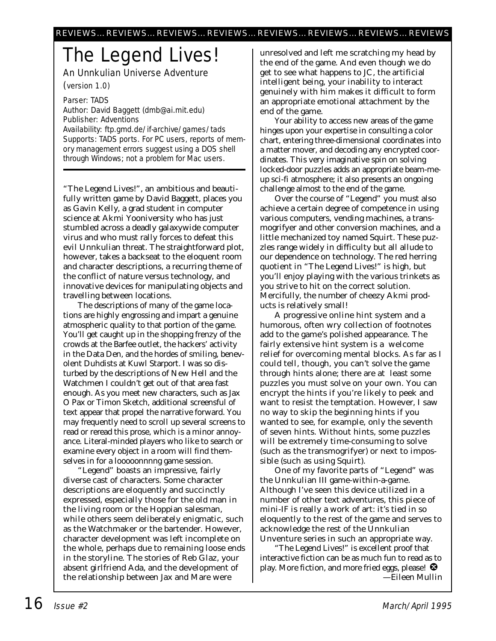# The Legend Lives!

An Unnkulian Universe Adventure

(version 1.0)

Parser: TADS Author: David Baggett (dmb@ai.mit.edu) Publisher: Adventions Availability: ftp.gmd.de/if-archive/games/tads Supports: TADS ports. For PC users, reports of memory management errors suggest using a DOS shell through Windows; not a problem for Mac users.

"The Legend Lives!", an ambitious and beautifully written game by David Baggett, places you as Gavin Kelly, a grad student in computer science at Akmi Yooniversity who has just stumbled across a deadly galaxywide computer virus and who must rally forces to defeat this evil Unnkulian threat. The straightforward plot, however, takes a backseat to the eloquent room and character descriptions, a recurring theme of the conflict of nature versus technology, and innovative devices for manipulating objects and travelling between locations.

The descriptions of many of the game locations are highly engrossing and impart a genuine atmospheric quality to that portion of the game. You'll get caught up in the shopping frenzy of the crowds at the Barfee outlet, the hackers' activity in the Data Den, and the hordes of smiling, benevolent Duhdists at Kuwl Starport. I was so disturbed by the descriptions of New Hell and the Watchmen I couldn't get out of that area fast enough. As you meet new characters, such as Jax O Pax or Timon Sketch, additional screensful of text appear that propel the narrative forward. You may frequently need to scroll up several screens to read or reread this prose, which is a minor annoyance. Literal-minded players who like to search or examine every object in a room will find themselves in for a looooonnnng game session.

"Legend" boasts an impressive, fairly diverse cast of characters. Some character descriptions are eloquently and succinctly expressed, especially those for the old man in the living room or the Hoppian salesman, while others seem deliberately enigmatic, such as the Watchmaker or the bartender. However, character development was left incomplete on the whole, perhaps due to remaining loose ends in the storyline. The stories of Reb Glaz, your absent girlfriend Ada, and the development of the relationship between Jax and Mare were

unresolved and left me scratching my head by the end of the game. And even though we do get to see what happens to JC, the artificial intelligent being, your inability to interact genuinely with him makes it difficult to form an appropriate emotional attachment by the end of the game.

Your ability to access new areas of the game hinges upon your expertise in consulting a color chart, entering three-dimensional coordinates into a matter mover, and decoding any encrypted coordinates. This very imaginative spin on solving locked-door puzzles adds an appropriate beam-meup sci-fi atmosphere; it also presents an ongoing challenge almost to the end of the game.

Over the course of "Legend" you must also achieve a certain degree of competence in using various computers, vending machines, a transmogrifyer and other conversion machines, and a little mechanized toy named Squirt. These puzzles range widely in difficulty but all allude to our dependence on technology. The red herring quotient in "The Legend Lives!" is high, but you'll enjoy playing with the various trinkets as you strive to hit on the correct solution. Mercifully, the number of cheezy Akmi products is relatively small!

A progressive online hint system and a humorous, often wry collection of footnotes add to the game's polished appearance. The fairly extensive hint system is a welcome relief for overcoming mental blocks. As far as I could tell, though, you can't solve the game through hints alone; there are at least some puzzles you *must* solve on your own. You can encrypt the hints if you're likely to peek and want to resist the temptation. However, I saw no way to skip the beginning hints if you wanted to see, for example, only the seventh of seven hints. Without hints, some puzzles will be extremely time-consuming to solve (such as the transmogrifyer) or next to impossible (such as using Squirt).

One of my favorite parts of "Legend" was the Unnkulian III game-within-a-game. Although I've seen this device utilized in a number of other text adventures, this piece of mini-IF is really a work of art: it's tied in so eloquently to the rest of the game and serves to acknowledge the rest of the Unnkulian Unventure series in such an appropriate way.

"The Legend Lives!" is excellent proof that interactive fiction can be as much fun to read as to play. More fiction, and more fried eggs, please!  $\bullet$ *—Eileen Mullin*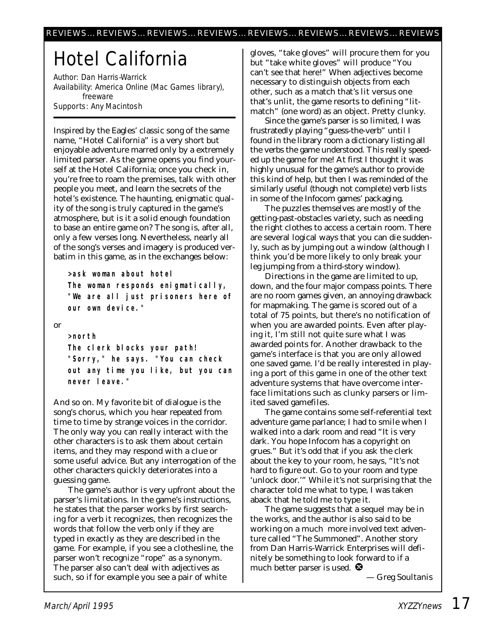# Hotel California

Author: Dan Harris-Warrick Availability: America Online (Mac Games library), freeware Supports: Any Macintosh

Inspired by the Eagles' classic song of the same name, "Hotel California" is a very short but enjoyable adventure marred only by a extremely limited parser. As the game opens you find yourself at the Hotel California; once you check in, you're free to roam the premises, talk with other people you meet, and learn the secrets of the hotel's existence. The haunting, enigmatic quality of the song is truly captured in the game's atmosphere, but is it a solid enough foundation to base an entire game on? The song is, after all, only a few verses long. Nevertheless, nearly all of the song's verses and imagery is produced verbatim in this game, as in the exchanges below:

**>ask woman about hotel The woman responds enigmatically, "We are all just prisoners here of our own device."**

or

**>north The clerk blocks your path! "Sorry," he says. "You can check out any time you like, but you can never leave."**

And so on. My favorite bit of dialogue is the song's chorus, which you hear repeated from time to time by strange voices in the corridor. The only way you can really interact with the other characters is to ask them about certain items, and they may respond with a clue or some useful advice. But any interrogation of the other characters quickly deteriorates into a guessing game.

The game's author is very upfront about the parser's limitations. In the game's instructions, he states that the parser works by first searching for a verb it recognizes, then recognizes the words that follow the verb only if they are typed in exactly as they are described in the game. For example, if you see a clothesline, the parser won't recognize "rope" as a synonym. The parser also can't deal with adjectives as such, so if for example you see a pair of white

gloves, "take gloves" will procure them for you but "take white gloves" will produce "You can't see that here!" When adjectives become necessary to distinguish objects from each other, such as a match that's lit versus one that's unlit, the game resorts to defining "litmatch" (one word) as an object. Pretty clunky.

Since the game's parser is so limited, I was frustratedly playing "guess-the-verb" until I found in the library room a dictionary listing all the verbs the game understood. This really speeded up the game for me! At first I thought it was highly unusual for the game's author to provide this kind of help, but then I was reminded of the similarly useful (though not complete) verb lists in some of the Infocom games' packaging.

The puzzles themselves are mostly of the getting-past-obstacles variety, such as needing the right clothes to access a certain room. There are several logical ways that you can die suddenly, such as by jumping out a window (although I think you'd be more likely to only break your leg jumping from a third-story window).

Directions in the game are limited to up, down, and the four major compass points. There are no room games given, an annoying drawback for mapmaking. The game is scored out of a total of 75 points, but there's no notification of when you are awarded points. Even after playing it, I'm still not quite sure what I was awarded points for. Another drawback to the game's interface is that you are only allowed one saved game. I'd be really interested in playing a port of this game in one of the other text adventure systems that have overcome interface limitations such as clunky parsers or limited saved gamefiles.

The game contains some self-referential text adventure game parlance; I had to smile when I walked into a dark room and read "It is very dark. You hope Infocom has a copyright on grues." But it's odd that if you ask the clerk about the key to your room, he says, "It's not hard to figure out. Go to your room and type 'unlock door.'" While it's not surprising that the character told me *what* to type, I was taken aback that he told me *to* type it.

The game suggests that a sequel may be in the works, and the author is also said to be working on a much more involved text adventure called "The Summoned". Another story from Dan Harris-Warrick Enterprises will definitely be something to look forward to if a much better parser is used.  $\bullet$ 

*— Greg Soultanis*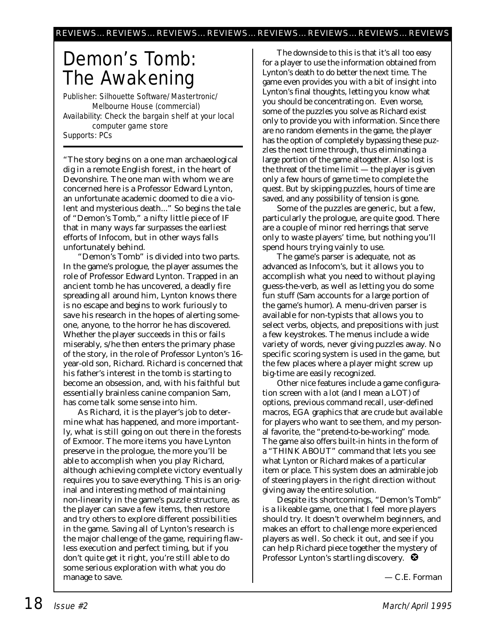# Demon's Tomb: The Awakening

Publisher: Silhouette Software/Mastertronic/ Melbourne House (commercial) Availability: Check the bargain shelf at your local computer game store Supports: PCs

"The story begins on a one man archaeological dig in a remote English forest, in the heart of Devonshire. The one man with whom we are concerned here is a Professor Edward Lynton, an unfortunate academic doomed to die a violent and mysterious death..." So begins the tale of "Demon's Tomb," a nifty little piece of IF that in many ways far surpasses the earliest efforts of Infocom, but in other ways falls unfortunately behind.

"Demon's Tomb" is divided into two parts. In the game's prologue, the player assumes the role of Professor Edward Lynton. Trapped in an ancient tomb he has uncovered, a deadly fire spreading all around him, Lynton knows there is no escape and begins to work furiously to save his research in the hopes of alerting someone, anyone, to the horror he has discovered. Whether the player succeeds in this or fails miserably, s/he then enters the primary phase of the story, in the role of Professor Lynton's 16 year-old son, Richard. Richard is concerned that his father's interest in the tomb is starting to become an obsession, and, with his faithful but essentially brainless canine companion Sam, has come talk some sense into him.

As Richard, it is the player's job to determine what has happened, and more importantly, what is still going on out there in the forests of Exmoor. The more items you have Lynton preserve in the prologue, the more you'll be able to accomplish when you play Richard, although achieving complete victory eventually requires you to save everything. This is an original and interesting method of maintaining non-linearity in the game's puzzle structure, as the player can save a few items, then restore and try others to explore different possibilities in the game. Saving all of Lynton's research is the major challenge of the game, requiring flawless execution and perfect timing, but if you don't quite get it right, you're still able to do some serious exploration with what you do manage to save.

The downside to this is that it's all too easy for a player to use the information obtained from Lynton's death to do better the next time. The game even provides you with a bit of insight into Lynton's final thoughts, letting you know what you should be concentrating on. Even worse, some of the puzzles you solve as Richard exist only to provide you with information. Since there are no random elements in the game, the player has the option of completely bypassing these puzzles the next time through, thus eliminating a large portion of the game altogether. Also lost is the threat of the time limit — the player is given only a few hours of game time to complete the quest. But by skipping puzzles, hours of time are saved, and any possibility of tension is gone.

Some of the puzzles are generic, but a few, particularly the prologue, are quite good. There are a couple of minor red herrings that serve only to waste players' time, but nothing you'll spend hours trying vainly to use.

The game's parser is adequate, not as advanced as Infocom's, but it allows you to accomplish what you need to without playing guess-the-verb, as well as letting you do some fun stuff (Sam accounts for a large portion of the game's humor). A menu-driven parser is available for non-typists that allows you to select verbs, objects, and prepositions with just a few keystrokes. The menus include a wide variety of words, never giving puzzles away. No specific scoring system is used in the game, but the few places where a player might screw up big-time are easily recognized.

Other nice features include a game configuration screen with a lot (and I mean a LOT) of options, previous command recall, user-defined macros, EGA graphics that are crude but available for players who want to see them, and my personal favorite, the "pretend-to-be-working" mode. The game also offers built-in hints in the form of a "THINK ABOUT" command that lets you see what Lynton or Richard makes of a particular item or place. This system does an admirable job of steering players in the right direction without giving away the entire solution.

Despite its shortcomings, "Demon's Tomb" is a likeable game, one that I feel more players should try. It doesn't overwhelm beginners, and makes an effort to challenge more experienced players as well. So check it out, and see if you can help Richard piece together the mystery of Professor Lynton's startling discovery.  $\bullet$ 

*— C.E. Forman*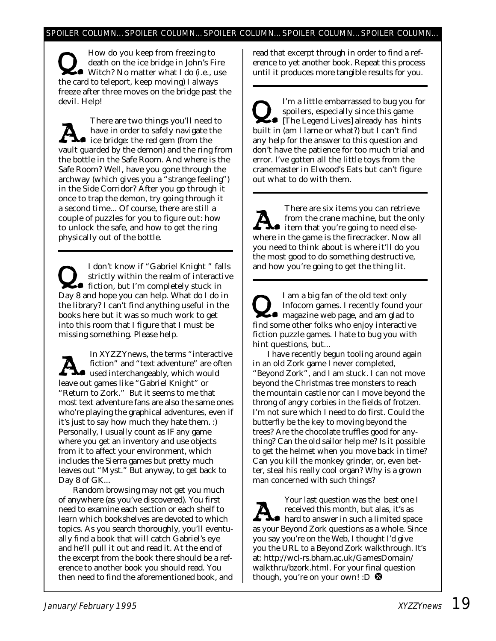Now do you keep from freezing to<br>death on the ice bridge in John's Fire<br>Witch? No matter what I do (i.e., use<br>the card to teleport, keep moving) I always death on the ice bridge in John's Fire the card to teleport, keep moving) I always freeze after three moves on the bridge past the devil. Help!

There are two things you'll need to<br>have in order to safely navigate the<br>ice bridge: the red gem (from the<br>vault guarded by the demon) and the ring fra have in order to safely navigate the ice bridge: the red gem (from the vault guarded by the demon) and the ring from the bottle in the Safe Room. And where is the Safe Room? Well, have you gone through the archway (which gives you a "strange feeling") in the Side Corridor? After you go through it once to trap the demon, try going through it a second time... Of course, there are still a couple of puzzles for you to figure out: how to unlock the safe, and how to get the ring physically *out* of the bottle.

I don't know if "Gabriel Knight " falls<br>strictly within the realm of interactive<br>fiction, but I'm completely stuck in<br>Day 8 and hone you can belp. What do I do in strictly within the realm of interactive Day 8 and hope you can help. What do I do in the library? I can't find anything useful in the books here but it was so much work to get into this room that I figure that I must be missing something. Please help.

In *XYZZYnews,* the terms "interactive<br>fiction" and "text adventure" are often<br>used interchangeably, which would<br>leave out games like "Gabriel Knight" or fiction" and "text adventure" are often leave out games like "Gabriel Knight" or "Return to Zork." But it seems to me that most text adventure fans are also the same ones who're playing the graphical adventures, even if it's just to say how much they hate them. :) Personally, I usually count as IF any game where you get an inventory and use objects from it to affect your environment, which includes the Sierra games but pretty much leaves out "Myst." But anyway, to get back to Day 8 of GK...

Random browsing may not get you much of anywhere (as you've discovered). You first need to examine each section or each shelf to learn which bookshelves are devoted to which topics. As you search thoroughly, you'll eventually find a book that will catch Gabriel's eye and he'll pull it out and read it. At the end of the excerpt from the book there should be a reference to another book you should read. You then need to find the aforementioned book, and

read that excerpt through in order to find a reference to yet another book. Repeat this process until it produces more tangible results for you.

I'm a little embarrassed to bug you for<br>spoilers, especially since this game<br>[The Legend Lives] already *has* hints<br>built in (am I lame or what?) but I can't find spoilers, especially since this game built in (am I lame or what?) but I can't find any help for the answer to this question and don't have the patience for too much trial and error. I've gotten all the little toys from the cranemaster in Elwood's Eats but can't figure out what to do with them.

There are six items you can retrieve<br>from the crane machine, but the only<br>where in the game is the firecracker. Now all from the crane machine, but the only where in the game is the firecracker. Now all you need to think about is where it'll do you the most good to do something destructive, and how you're going to get the thing lit.

I am a big fan of the old text only<br>Infocom games. I recently found young<br>magazine web page, and am glad to<br>find some other folks who enjoy interactive Infocom games. I recently found your find some other folks who enjoy interactive fiction puzzle games. I hate to bug you with hint questions, but...

I have recently begun tooling around again in an old Zork game I never completed, "Beyond Zork", and I am stuck. I can not move beyond the Christmas tree monsters to reach the mountain castle nor can I move beyond the throng of angry corbies in the fields of frotzen. I'm not sure which I need to do first. Could the butterfly be the key to moving beyond the trees? Are the chocolate truffles good for anything? Can the old sailor help me? Is it possible to get the helmet when you move back in time? Can you kill the monkey grinder, or, even better, steal his really cool organ? Why is a grown man concerned with such things?

Your last question was the best one I<br>received this month, but alas, it's as<br>hard to answer in such a limited space<br>as your Beyond Zork questions as a whole. Since received this month, but alas, it's as as your Beyond Zork questions as a whole. Since you say you're on the Web, I thought I'd give you the URL to a Beyond Zork walkthrough. It's at: http://wcl-rs.bham.ac.uk/GamesDomain/ walkthru/bzork.html. For your final question though, you're on your own! : $D$